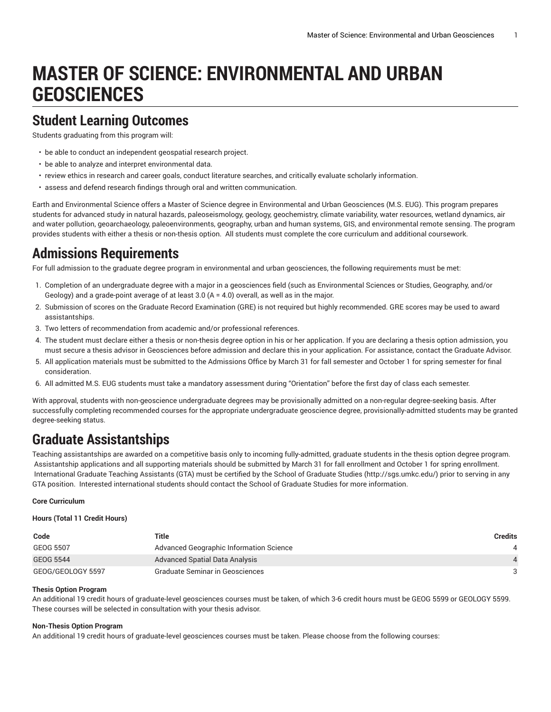# **MASTER OF SCIENCE: ENVIRONMENTAL AND URBAN GEOSCIENCES**

### **Student Learning Outcomes**

Students graduating from this program will:

- be able to conduct an independent geospatial research project.
- be able to analyze and interpret environmental data.
- review ethics in research and career goals, conduct literature searches, and critically evaluate scholarly information.
- assess and defend research findings through oral and written communication.

Earth and Environmental Science offers a Master of Science degree in Environmental and Urban Geosciences (M.S. EUG). This program prepares students for advanced study in natural hazards, paleoseismology, geology, geochemistry, climate variability, water resources, wetland dynamics, air and water pollution, geoarchaeology, paleoenvironments, geography, urban and human systems, GIS, and environmental remote sensing. The program provides students with either a thesis or non-thesis option. All students must complete the core curriculum and additional coursework.

### **Admissions Requirements**

For full admission to the graduate degree program in environmental and urban geosciences, the following requirements must be met:

- 1. Completion of an undergraduate degree with a major in a geosciences field (such as Environmental Sciences or Studies, Geography, and/or Geology) and a grade-point average of at least 3.0 (A = 4.0) overall, as well as in the major.
- 2. Submission of scores on the Graduate Record Examination (GRE) is not required but highly recommended. GRE scores may be used to award assistantships.
- 3. Two letters of recommendation from academic and/or professional references.
- 4. The student must declare either a thesis or non-thesis degree option in his or her application. If you are declaring a thesis option admission, you must secure a thesis advisor in Geosciences before admission and declare this in your application. For assistance, contact the Graduate Advisor.
- 5. All application materials must be submitted to the Admissions Office by March 31 for fall semester and October 1 for spring semester for final consideration.
- 6. All admitted M.S. EUG students must take a mandatory assessment during "Orientation" before the first day of class each semester.

With approval, students with non-geoscience undergraduate degrees may be provisionally admitted on a non-regular degree-seeking basis. After successfully completing recommended courses for the appropriate undergraduate geoscience degree, provisionally-admitted students may be granted degree-seeking status.

## **Graduate Assistantships**

Teaching assistantships are awarded on a competitive basis only to incoming fully-admitted, graduate students in the thesis option degree program. Assistantship applications and all supporting materials should be submitted by March 31 for fall enrollment and October 1 for spring enrollment. International Graduate Teaching Assistants (GTA) must be certified by the [School of Graduate Studies](http://sgs.umkc.edu/) (<http://sgs.umkc.edu/>) prior to serving in any GTA position. Interested international students should contact the School of Graduate Studies for more information.

#### **Core Curriculum**

#### **Hours (Total 11 Credit Hours)**

| Code              | Title                                   | <b>Credits</b> |
|-------------------|-----------------------------------------|----------------|
| GEOG 5507         | Advanced Geographic Information Science |                |
| <b>GEOG 5544</b>  | Advanced Spatial Data Analysis          |                |
| GEOG/GEOLOGY 5597 | Graduate Seminar in Geosciences         | -3             |

#### **Thesis Option Program**

An additional 19 credit hours of graduate-level geosciences courses must be taken, of which 3-6 credit hours must be GEOG 5599 or GEOLOGY 5599. These courses will be selected in consultation with your thesis advisor.

#### **Non-Thesis Option Program**

An additional 19 credit hours of graduate-level geosciences courses must be taken. Please choose from the following courses: